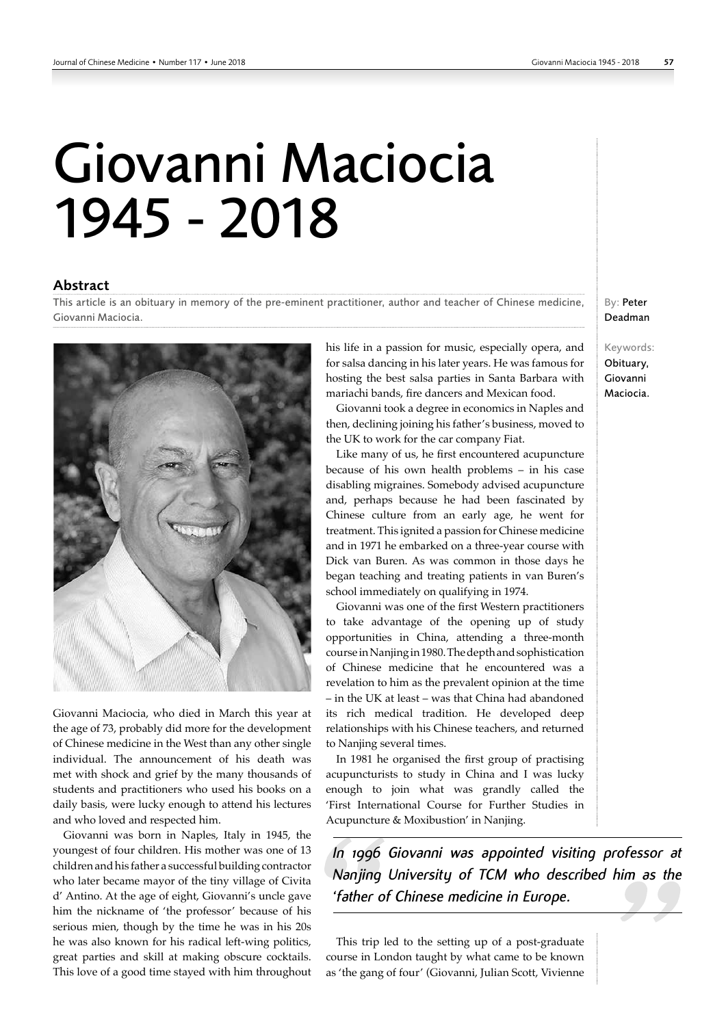## Giovanni Maciocia 1945 - 2018

## Abstract

This article is an obituary in memory of the pre-eminent practitioner, author and teacher of Chinese medicine, Giovanni Maciocia.



Giovanni Maciocia, who died in March this year at the age of 73, probably did more for the development of Chinese medicine in the West than any other single individual. The announcement of his death was met with shock and grief by the many thousands of students and practitioners who used his books on a daily basis, were lucky enough to attend his lectures and who loved and respected him.

Giovanni was born in Naples, Italy in 1945, the youngest of four children. His mother was one of 13 children and his father a successful building contractor who later became mayor of the tiny village of Civita d' Antino. At the age of eight, Giovanni's uncle gave him the nickname of 'the professor' because of his serious mien, though by the time he was in his 20s he was also known for his radical left-wing politics, great parties and skill at making obscure cocktails. This love of a good time stayed with him throughout his life in a passion for music, especially opera, and for salsa dancing in his later years. He was famous for hosting the best salsa parties in Santa Barbara with mariachi bands, fire dancers and Mexican food.

Giovanni took a degree in economics in Naples and then, declining joining his father's business, moved to the UK to work for the car company Fiat.

Like many of us, he first encountered acupuncture because of his own health problems – in his case disabling migraines. Somebody advised acupuncture and, perhaps because he had been fascinated by Chinese culture from an early age, he went for treatment. This ignited a passion for Chinese medicine and in 1971 he embarked on a three-year course with Dick van Buren. As was common in those days he began teaching and treating patients in van Buren's school immediately on qualifying in 1974.

Giovanni was one of the first Western practitioners to take advantage of the opening up of study opportunities in China, attending a three-month course in Nanjing in 1980. The depth and sophistication of Chinese medicine that he encountered was a revelation to him as the prevalent opinion at the time – in the UK at least – was that China had abandoned its rich medical tradition. He developed deep relationships with his Chinese teachers, and returned to Nanjing several times.

In 1981 he organised the first group of practising acupuncturists to study in China and I was lucky enough to join what was grandly called the 'First International Course for Further Studies in Acupuncture & Moxibustion' in Nanjing.

*In 1996 Giovanni was appointed visiting professor at Nanjing University of TCM who described him as the 'father of Chinese medicine in Europe.*

This trip led to the setting up of a post-graduate course in London taught by what came to be known as 'the gang of four' (Giovanni, Julian Scott, Vivienne

By: Peter Deadman

Keywords: Obituary, Giovanni Maciocia.